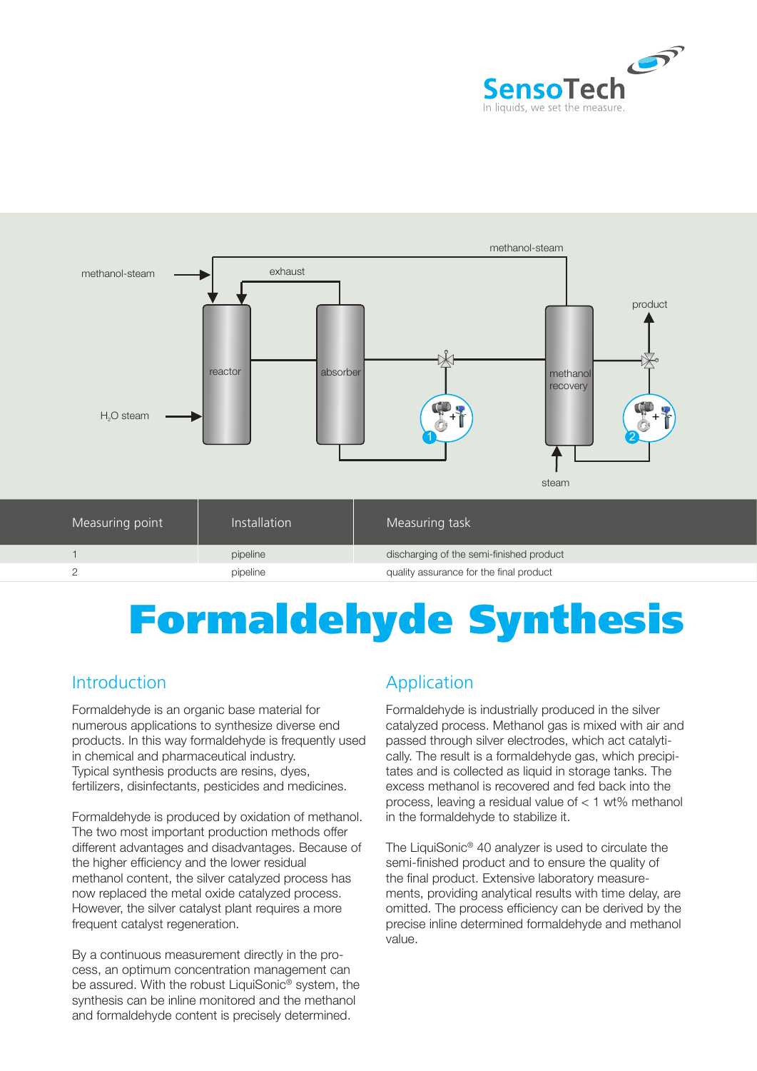



# Formaldehyde Synthesis

#### Introduction

Formaldehyde is an organic base material for numerous applications to synthesize diverse end products. In this way formaldehyde is frequently used in chemical and pharmaceutical industry. Typical synthesis products are resins, dyes, fertilizers, disinfectants, pesticides and medicines.

Formaldehyde is produced by oxidation of methanol. The two most important production methods offer different advantages and disadvantages. Because of the higher efficiency and the lower residual methanol content, the silver catalyzed process has now replaced the metal oxide catalyzed process. However, the silver catalyst plant requires a more frequent catalyst regeneration.

By a continuous measurement directly in the process, an optimum concentration management can be assured. With the robust LiquiSonic<sup>®</sup> system, the synthesis can be inline monitored and the methanol and formaldehyde content is precisely determined.

### Application

Formaldehyde is industrially produced in the silver catalyzed process. Methanol gas is mixed with air and passed through silver electrodes, which act catalytically. The result is a formaldehyde gas, which precipitates and is collected as liquid in storage tanks. The excess methanol is recovered and fed back into the process, leaving a residual value of < 1 wt% methanol in the formaldehyde to stabilize it.

The LiquiSonic® 40 analyzer is used to circulate the semi-finished product and to ensure the quality of the final product. Extensive laboratory measurements, providing analytical results with time delay, are omitted. The process efficiency can be derived by the precise inline determined formaldehyde and methanol value.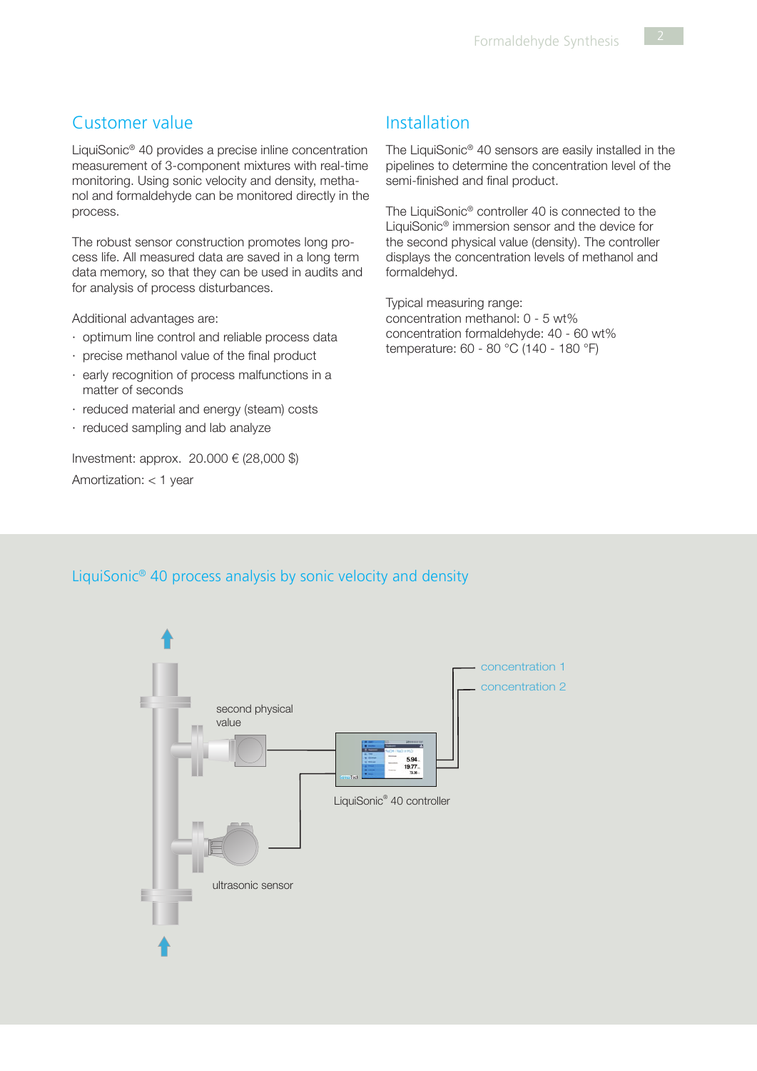#### Customer value

LiquiSonic® 40 provides a precise inline concentration measurement of 3-component mixtures with real-time monitoring. Using sonic velocity and density, methanol and formaldehyde can be monitored directly in the process.

The robust sensor construction promotes long process life. All measured data are saved in a long term data memory, so that they can be used in audits and for analysis of process disturbances.

Additional advantages are:

- · optimum line control and reliable process data
- · precise methanol value of the final product
- · early recognition of process malfunctions in a matter of seconds
- · reduced material and energy (steam) costs
- · reduced sampling and lab analyze

Investment: approx. 20.000 € (28,000 \$) Amortization: < 1 year

#### Installation

The LiquiSonic® 40 sensors are easily installed in the pipelines to determine the concentration level of the semi-finished and final product.

The LiquiSonic<sup>®</sup> controller 40 is connected to the LiquiSonic® immersion sensor and the device for the second physical value (density). The controller displays the concentration levels of methanol and formaldehyd.

Typical measuring range: concentration methanol: 0 - 5 wt% concentration formaldehyde: 40 - 60 wt% temperature: 60 - 80 °C (140 - 180 °F)

#### LiquiSonic® 40 process analysis by sonic velocity and density